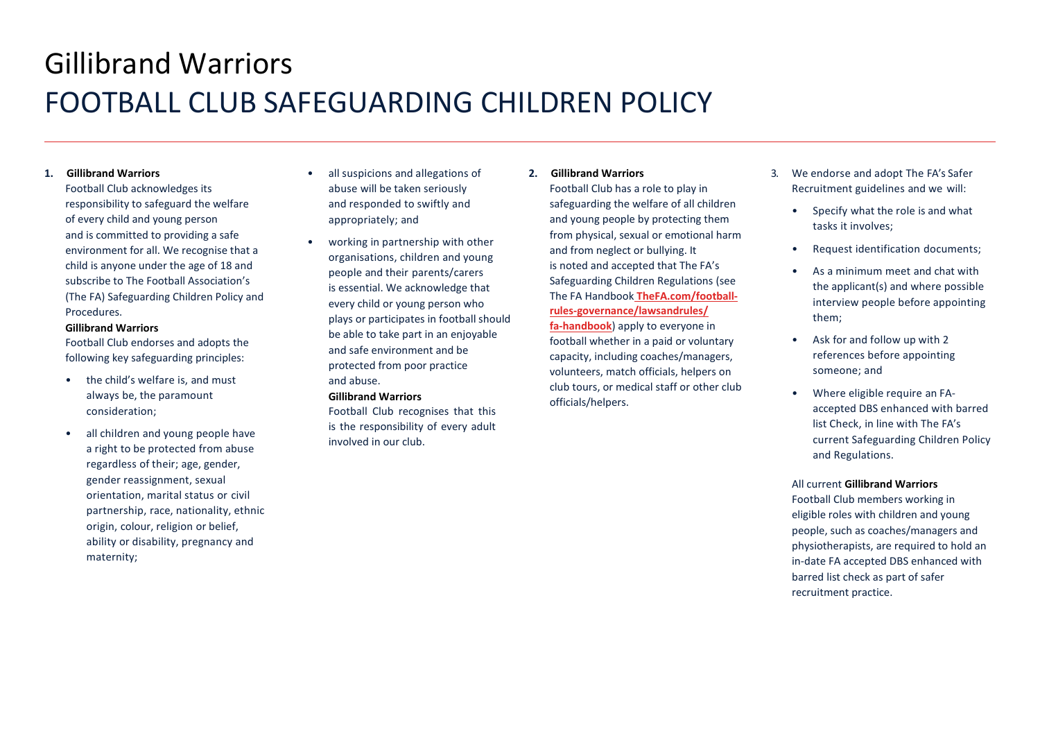# Gillibrand Warriors FOOTBALL CLUB SAFEGUARDING CHILDREN POLICY

### **1. Gillibrand Warriors**

Football Club acknowledges its responsibility to safeguard the welfare of every child and young person and is committed to providing a safe environment for all. We recognise that a child is anyone under the age of 18 and subscribe to The Football Association's (The FA) Safeguarding Children Policy and **Procedures** 

#### **Gillibrand Warriors**

Football Club endorses and adopts the following key safeguarding principles:

- the child's welfare is, and must always be, the paramount consideration;
- all children and young people have a right to be protected from abuse regardless of their; age, gender, gender reassignment, sexual orientation, marital status or civil partnership, race, nationality, ethnic origin, colour, religion or belief, ability or disability, pregnancy and maternity;
- all suspicions and allegations of abuse will be taken seriously and responded to swiftly and appropriately; and
- working in partnership with other organisations, children and young people and their parents/carers is essential. We acknowledge that every child or young person who plays or participates in football should be able to take part in an enjoyable and safe environment and be protected from poor practice and abuse.

## **Gillibrand Warriors**

Football Club recognises that this is the responsibility of every adult involved in our club.

### **2. Gillibrand Warriors**

Football Club has a role to play in safeguarding the welfare of all children and young people by protecting them from physical, sexual or emotional harm and from neglect or bullying. It is noted and accepted that The FA's Safeguarding Children Regulations (see The FA Handbook **TheFA.com/footballrules-governance/lawsandrules/ fa-handbook**) apply to everyone in football whether in a paid or voluntary capacity, including coaches/managers, volunteers, match officials, helpers on club tours, or medical staff or other club officials/helpers.

- 3. We endorse and adopt The FA's Safer Recruitment guidelines and we will:
	- Specify what the role is and what tasks it involves;
	- Request identification documents;
	- As a minimum meet and chat with the applicant(s) and where possible interview people before appointing them;
	- Ask for and follow up with 2 references before appointing someone; and
	- Where eligible require an FAaccepted DBS enhanced with barred list Check, in line with The FA's current Safeguarding Children Policy and Regulations.

#### All current **Gillibrand Warriors**

Football Club members working in eligible roles with children and young people, such as coaches/managers and physiotherapists, are required to hold an in-date FA accepted DBS enhanced with barred list check as part of safer recruitment practice.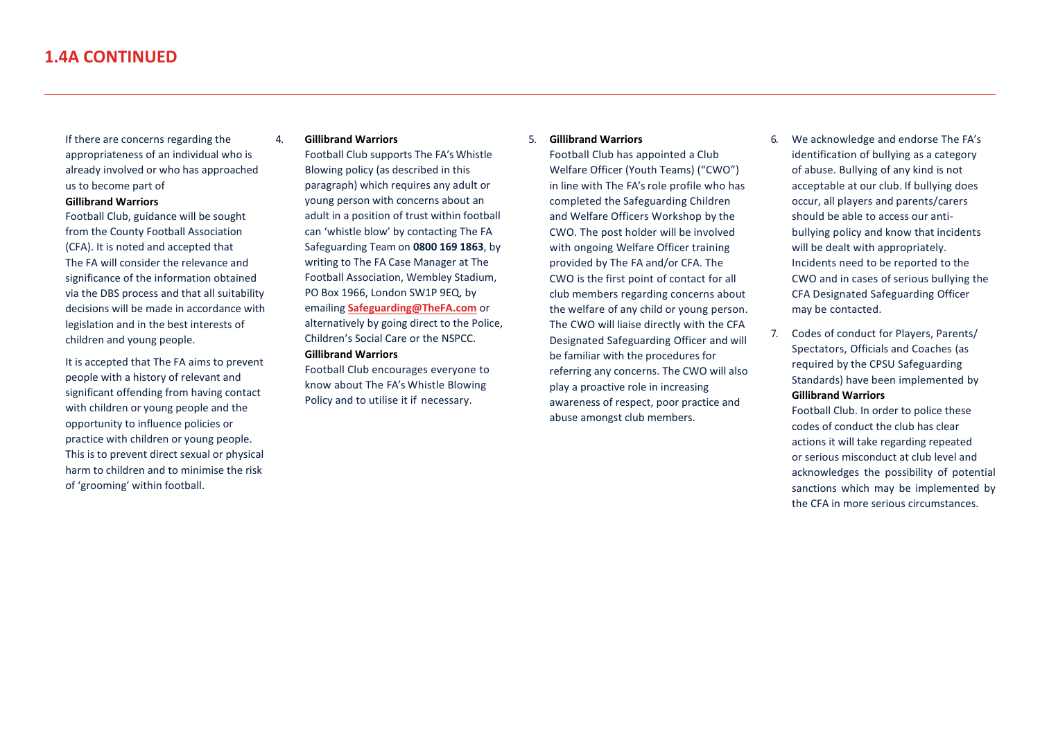If there are concerns regarding the appropriateness of an individual who is already involved or who has approached us to become part of

#### **Gillibrand Warriors**

Football Club, guidance will be sought from the County Football Association (CFA). It is noted and accepted that The FA will consider the relevance and significance of the information obtained via the DBS process and that all suitability decisions will be made in accordance with legislation and in the best interests of children and young people.

It is accepted that The FA aims to prevent people with a history of relevant and significant offending from having contact with children or young people and the opportunity to influence policies or practice with children or young people. This is to prevent direct sexual or physical harm to children and to minimise the risk of 'grooming' within football.

#### 4. **Gillibrand Warriors**

Football Club supports The FA's Whistle Blowing policy (as described in this paragraph) which requires any adult or young person with concerns about an adult in a position of trust within football can 'whistle blow' by contacting The FA Safeguarding Team on **0800 169 1863**, by writing to The FA Case Manager at The Football Association, Wembley Stadium, PO Box 1966, London SW1P 9EQ, by emailing **[Safeguarding@TheFA.com](mailto:Safeguarding@TheFA.com)** or alternatively by going direct to the Police, Children's Social Care or the NSPCC. **Gillibrand Warriors**

Football Club encourages everyone to know about The FA's Whistle Blowing Policy and to utilise it if necessary.

#### 5. **Gillibrand Warriors**

Football Club has appointed a Club Welfare Officer (Youth Teams) ("CWO") in line with The FA's role profile who has completed the Safeguarding Children and Welfare Officers Workshop by the CWO. The post holder will be involved with ongoing Welfare Officer training provided by The FA and/or CFA. The CWO is the first point of contact for all club members regarding concerns about the welfare of any child or young person. The CWO will liaise directly with the CFA Designated Safeguarding Officer and will be familiar with the procedures for referring any concerns. The CWO will also play a proactive role in increasing awareness of respect, poor practice and abuse amongst club members.

- 6. We acknowledge and endorse The FA's identification of bullying as a category of abuse. Bullying of any kind is not acceptable at our club. If bullying does occur, all players and parents/carers should be able to access our antibullying policy and know that incidents will be dealt with appropriately. Incidents need to be reported to the CWO and in cases of serious bullying the CFA Designated Safeguarding Officer may be contacted.
- 7. Codes of conduct for Players, Parents/ Spectators, Officials and Coaches (as required by the CPSU Safeguarding Standards) have been implemented by **Gillibrand Warriors**

Football Club. In order to police these codes of conduct the club has clear actions it will take regarding repeated or serious misconduct at club level and acknowledges the possibility of potential sanctions which may be implemented by the CFA in more serious circumstances.